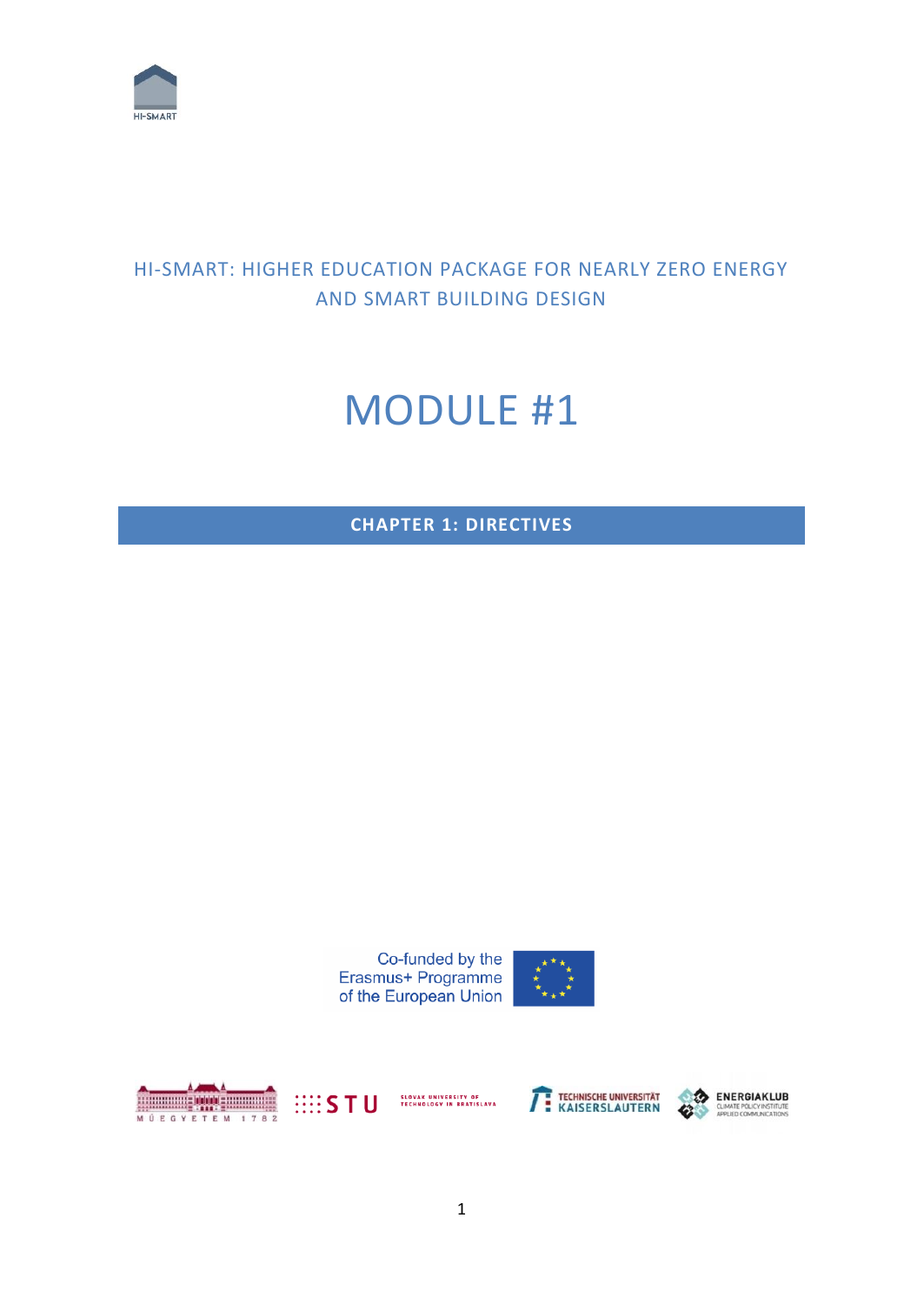

## HI-SMART: HIGHER EDUCATION PACKAGE FOR NEARLY ZERO ENERGY AND SMART BUILDING DESIGN

# MODULE #1

**CHAPTER 1: DIRECTIVES**

Co-funded by the Erasmus+ Programme<br>of the European Union





SLOVAK UNIVERSITY OF<br>TECHNOLOGY IN BRATISLAVA **BBSTU** 



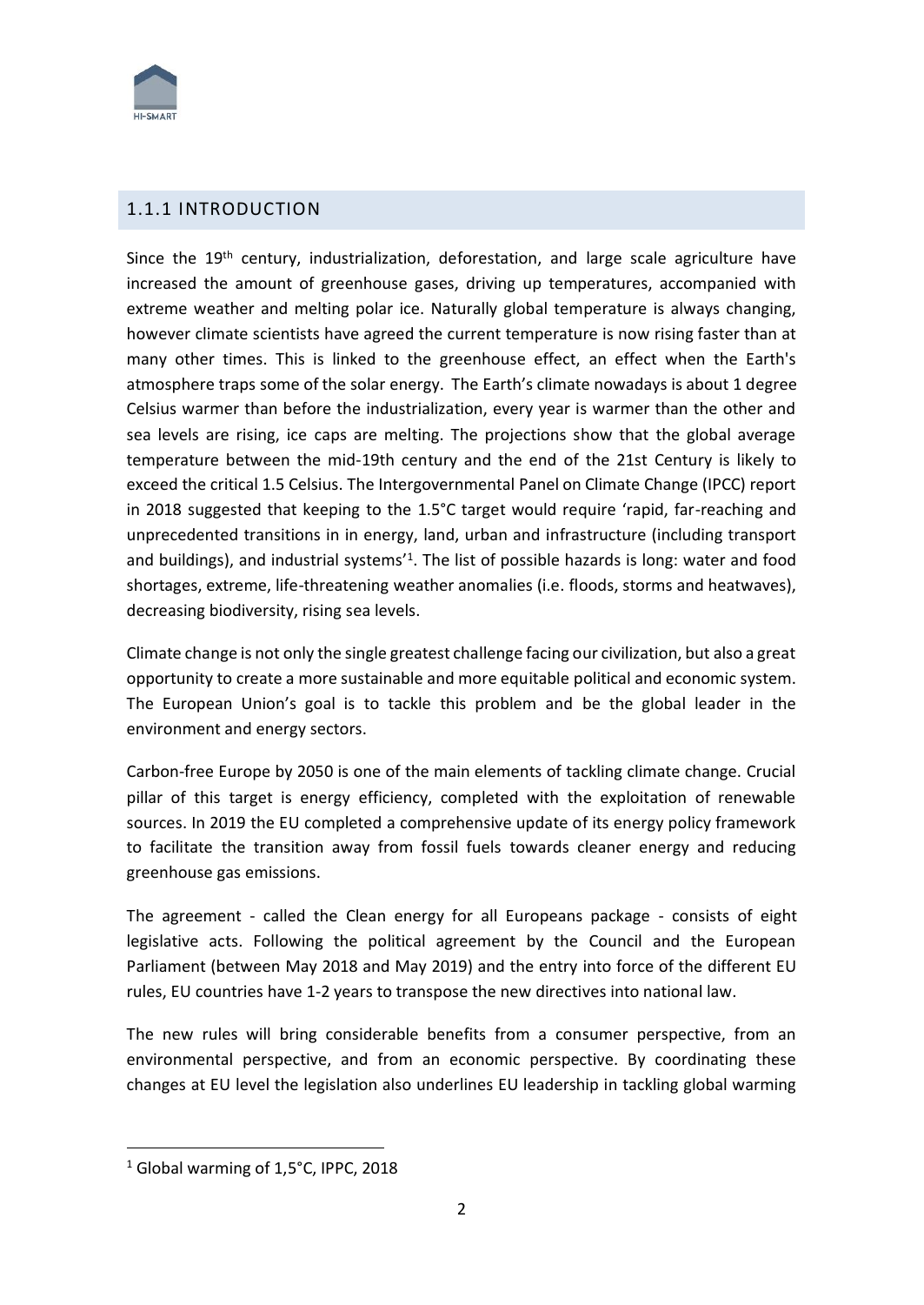

## 1.1.1 INTRODUCTION

Since the  $19<sup>th</sup>$  century, industrialization, deforestation, and large scale agriculture have increased the amount of greenhouse gases, driving up temperatures, accompanied with extreme weather and melting polar ice. Naturally global temperature is always changing, however climate scientists have agreed the current temperature is now rising faster than at many other times. This is linked to the greenhouse effect, an effect when the Earth's atmosphere traps some of the solar energy. The Earth's climate nowadays is about 1 degree Celsius warmer than before the industrialization, every year is warmer than the other and sea levels are rising, ice caps are melting. The projections show that the global average temperature between the mid-19th century and the end of the 21st Century is likely to exceed the critical 1.5 Celsius. The Intergovernmental Panel on Climate Change (IPCC) report in 2018 suggested that keeping to the 1.5°C target would require 'rapid, far-reaching and unprecedented transitions in in energy, land, urban and infrastructure (including transport and buildings), and industrial systems<sup>1</sup>. The list of possible hazards is long: water and food shortages, extreme, life-threatening weather anomalies (i.e. floods, storms and heatwaves), decreasing biodiversity, rising sea levels.

Climate change is not only the single greatest challenge facing our civilization, but also a great opportunity to create a more sustainable and more equitable political and economic system. The European Union's goal is to tackle this problem and be the global leader in the environment and energy sectors.

Carbon-free Europe by 2050 is one of the main elements of tackling climate change. Crucial pillar of this target is energy efficiency, completed with the exploitation of renewable sources. In 2019 the EU completed a comprehensive update of its energy policy framework to facilitate the transition away from fossil fuels towards cleaner energy and reducing greenhouse gas emissions.

The agreement - called the Clean energy for all Europeans package - consists of eight legislative acts. Following the political agreement by the Council and the European Parliament (between May 2018 and May 2019) and the entry into force of the different EU rules, EU countries have 1-2 years to transpose the new directives into national law.

The new rules will bring considerable benefits from a consumer perspective, from an environmental perspective, and from an economic perspective. By coordinating these changes at EU level the legislation also underlines EU leadership in tackling global warming

<sup>&</sup>lt;sup>1</sup> Global warming of 1,5°C, IPPC, 2018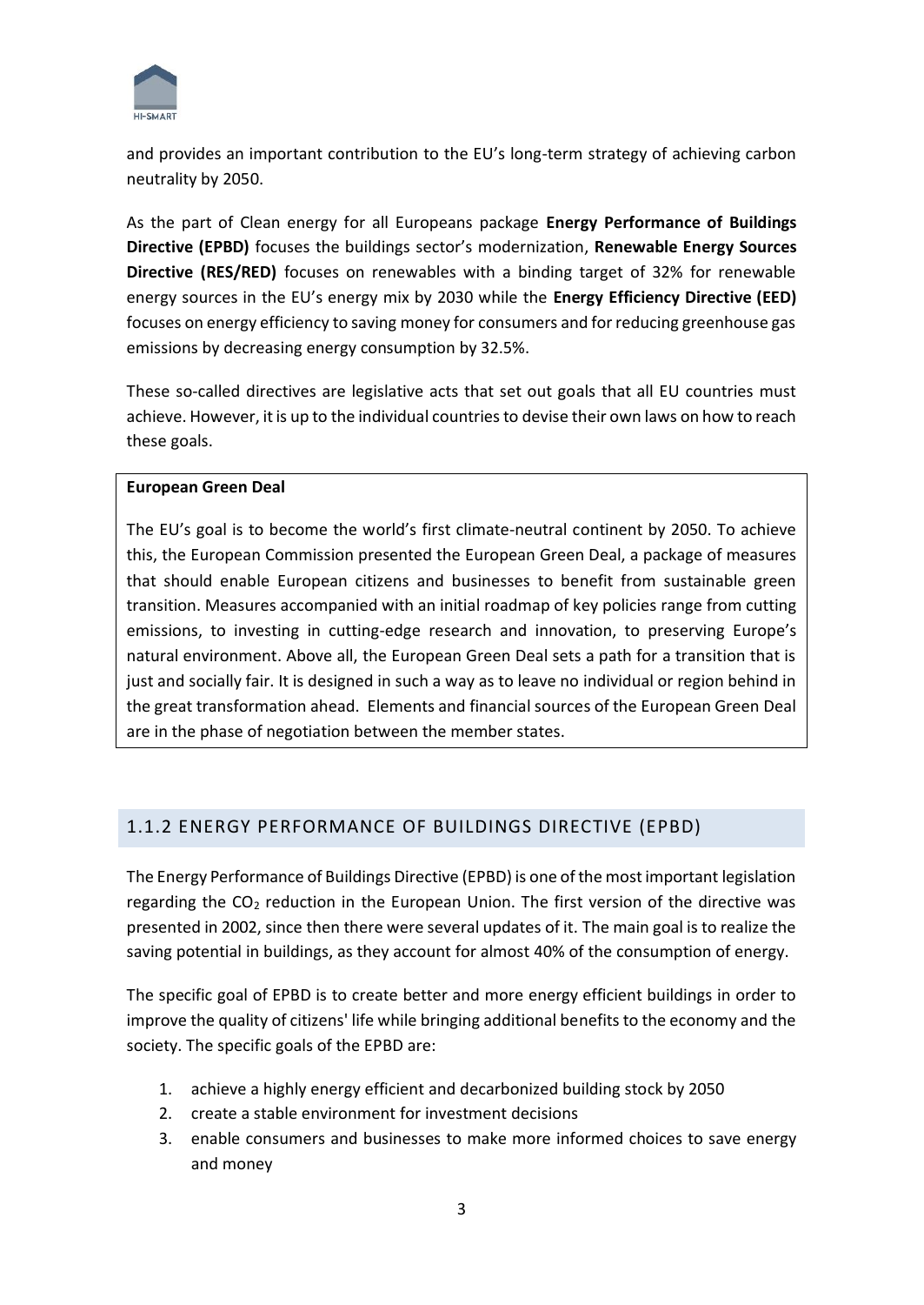

and provides an important contribution to the EU's long-term strategy of achieving carbon neutrality by 2050.

As the part of Clean energy for all Europeans package **Energy Performance of Buildings Directive (EPBD)** focuses the buildings sector's modernization, **Renewable Energy Sources Directive (RES/RED)** focuses on renewables with a binding target of 32% for renewable energy sources in the EU's energy mix by 2030 while the **Energy Efficiency Directive (EED)** focuses on energy efficiency to saving money for consumers and for reducing greenhouse gas emissions by decreasing energy consumption by 32.5%.

These so-called directives are legislative acts that set out goals that all EU countries must achieve. However, it is up to the individual countries to devise their own laws on how to reach these goals.

#### **European Green Deal**

The EU's goal is to become the world's first climate-neutral continent by 2050. To achieve this, the European Commission presented the European Green Deal, a package of measures that should enable European citizens and businesses to benefit from sustainable green transition. Measures accompanied with an initial roadmap of key policies range from cutting emissions, to investing in cutting-edge research and innovation, to preserving Europe's natural environment. Above all, the European Green Deal sets a path for a transition that is just and socially fair. It is designed in such a way as to leave no individual or region behind in the great transformation ahead. Elements and financial sources of the European Green Deal are in the phase of negotiation between the member states.

## 1.1.2 ENERGY PERFORMANCE OF BUILDINGS DIRECTIVE (EPBD)

The Energy Performance of Buildings Directive (EPBD) is one of the most important legislation regarding the  $CO<sub>2</sub>$  reduction in the European Union. The first version of the directive was presented in 2002, since then there were several updates of it. The main goal is to realize the saving potential in buildings, as they account for almost 40% of the consumption of energy.

The specific goal of EPBD is to create better and more energy efficient buildings in order to improve the quality of citizens' life while bringing additional benefits to the economy and the society. The specific goals of the EPBD are:

- 1. achieve a highly energy efficient and decarbonized building stock by 2050
- 2. create a stable environment for investment decisions
- 3. enable consumers and businesses to make more informed choices to save energy and money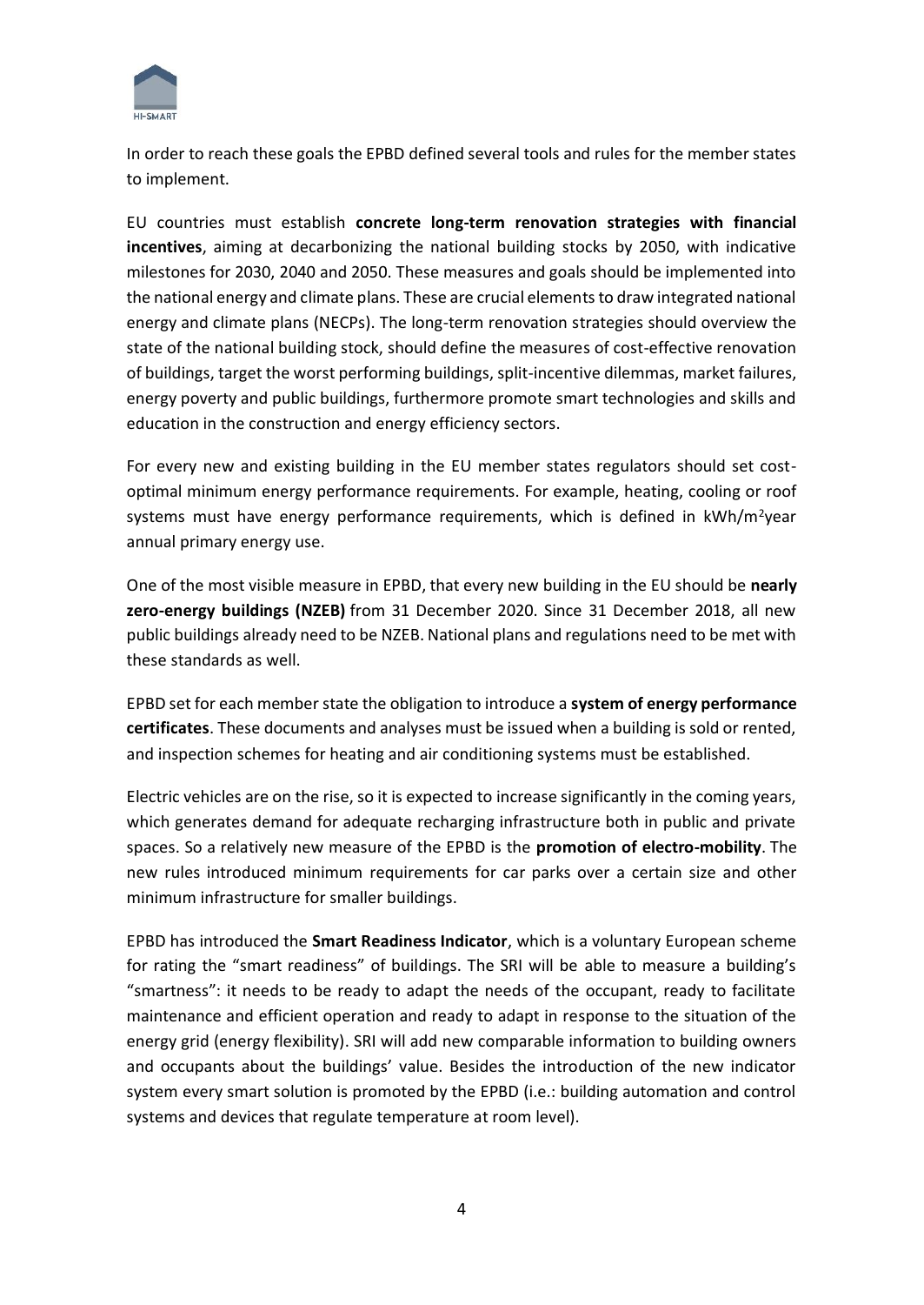

In order to reach these goals the EPBD defined several tools and rules for the member states to implement.

EU countries must establish **concrete long-term renovation strategies with financial incentives**, aiming at decarbonizing the national building stocks by 2050, with indicative milestones for 2030, 2040 and 2050. These measures and goals should be implemented into the national energy and climate plans. These are crucial elements to draw integrated national energy and climate plans (NECPs). The long-term renovation strategies should overview the state of the national building stock, should define the measures of cost-effective renovation of buildings, target the worst performing buildings, split-incentive dilemmas, market failures, energy poverty and public buildings, furthermore promote smart technologies and skills and education in the construction and energy efficiency sectors.

For every new and existing building in the EU member states regulators should set costoptimal minimum energy performance requirements. For example, heating, cooling or roof systems must have energy performance requirements, which is defined in  $kWh/m^2$ year annual primary energy use.

One of the most visible measure in EPBD, that every new building in the EU should be **nearly zero-energy buildings (NZEB)** from 31 December 2020. Since 31 December 2018, all new public buildings already need to be NZEB. National plans and regulations need to be met with these standards as well.

EPBD set for each member state the obligation to introduce a **system of energy performance certificates**. These documents and analyses must be issued when a building is sold or rented, and inspection schemes for heating and air conditioning systems must be established.

Electric vehicles are on the rise, so it is expected to increase significantly in the coming years, which generates demand for adequate recharging infrastructure both in public and private spaces. So a relatively new measure of the EPBD is the **promotion of electro-mobility**. The new rules introduced minimum requirements for car parks over a certain size and other minimum infrastructure for smaller buildings.

EPBD has introduced the **Smart Readiness Indicator**, which is a voluntary European scheme for rating the "smart readiness" of buildings. The SRI will be able to measure a building's "smartness": it needs to be ready to adapt the needs of the occupant, ready to facilitate maintenance and efficient operation and ready to adapt in response to the situation of the energy grid (energy flexibility). SRI will add new comparable information to building owners and occupants about the buildings' value. Besides the introduction of the new indicator system every smart solution is promoted by the EPBD (i.e.: building automation and control systems and devices that regulate temperature at room level).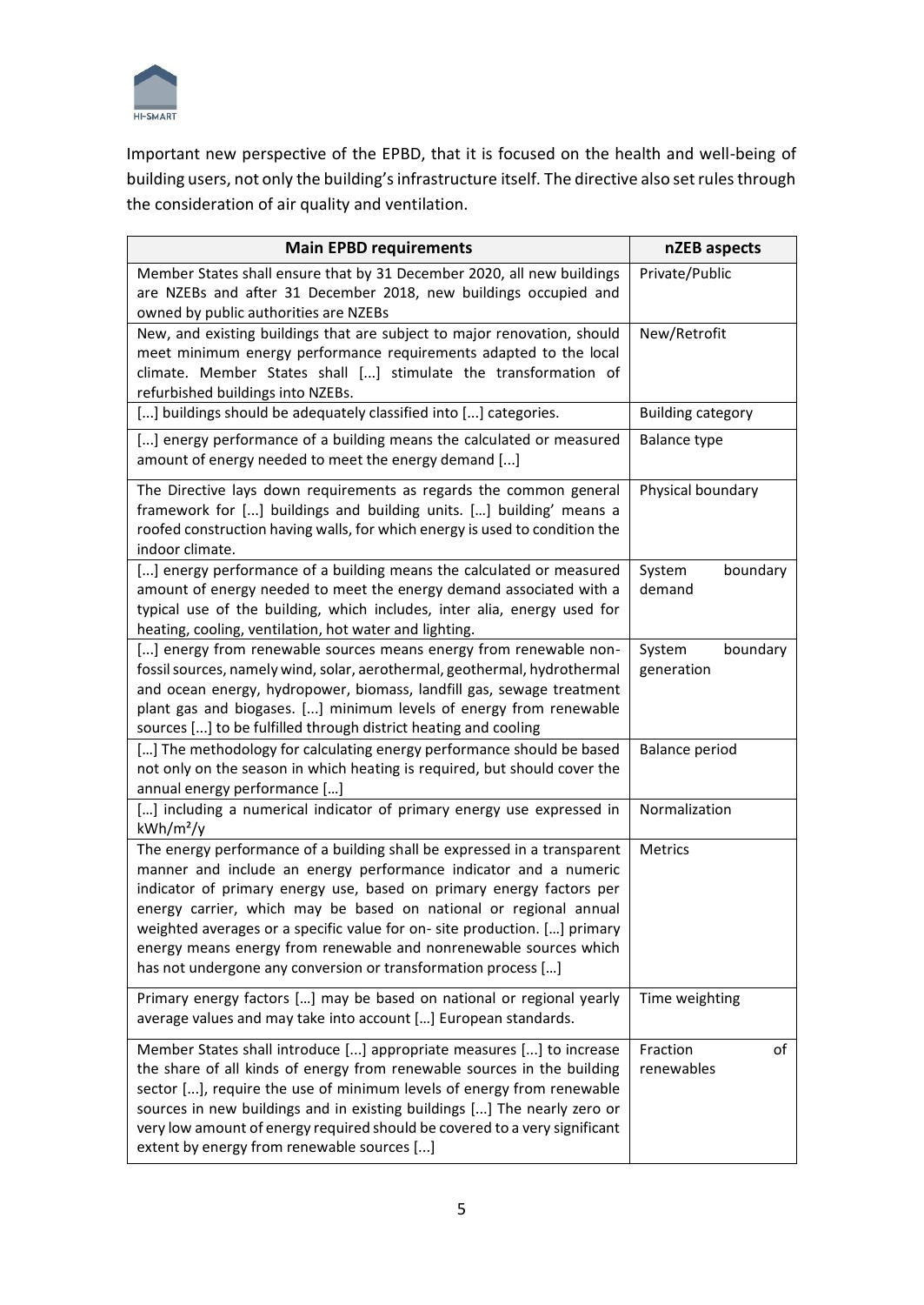

Important new perspective of the EPBD, that it is focused on the health and well-being of building users, not only the building's infrastructure itself. The directive also set rules through the consideration of air quality and ventilation.

| <b>Main EPBD requirements</b>                                                                                                                                                                                                                                                                                                                                                                                                                                                                               | nZEB aspects                     |  |  |
|-------------------------------------------------------------------------------------------------------------------------------------------------------------------------------------------------------------------------------------------------------------------------------------------------------------------------------------------------------------------------------------------------------------------------------------------------------------------------------------------------------------|----------------------------------|--|--|
| Member States shall ensure that by 31 December 2020, all new buildings<br>are NZEBs and after 31 December 2018, new buildings occupied and<br>owned by public authorities are NZEBs                                                                                                                                                                                                                                                                                                                         | Private/Public                   |  |  |
| New, and existing buildings that are subject to major renovation, should<br>meet minimum energy performance requirements adapted to the local<br>climate. Member States shall [] stimulate the transformation of<br>refurbished buildings into NZEBs.                                                                                                                                                                                                                                                       | New/Retrofit                     |  |  |
| [] buildings should be adequately classified into [] categories.                                                                                                                                                                                                                                                                                                                                                                                                                                            | <b>Building category</b>         |  |  |
| [] energy performance of a building means the calculated or measured<br>amount of energy needed to meet the energy demand []                                                                                                                                                                                                                                                                                                                                                                                | <b>Balance type</b>              |  |  |
| The Directive lays down requirements as regards the common general<br>framework for [] buildings and building units. [] building' means a<br>roofed construction having walls, for which energy is used to condition the<br>indoor climate.                                                                                                                                                                                                                                                                 | Physical boundary                |  |  |
| [] energy performance of a building means the calculated or measured<br>amount of energy needed to meet the energy demand associated with a<br>typical use of the building, which includes, inter alia, energy used for<br>heating, cooling, ventilation, hot water and lighting.                                                                                                                                                                                                                           | System<br>boundary<br>demand     |  |  |
| [] energy from renewable sources means energy from renewable non-<br>fossil sources, namely wind, solar, aerothermal, geothermal, hydrothermal<br>and ocean energy, hydropower, biomass, landfill gas, sewage treatment<br>plant gas and biogases. [] minimum levels of energy from renewable<br>sources [] to be fulfilled through district heating and cooling                                                                                                                                            | System<br>boundary<br>generation |  |  |
| [] The methodology for calculating energy performance should be based<br>not only on the season in which heating is required, but should cover the<br>annual energy performance []                                                                                                                                                                                                                                                                                                                          | Balance period                   |  |  |
| [] including a numerical indicator of primary energy use expressed in<br>$kWh/m^2/y$                                                                                                                                                                                                                                                                                                                                                                                                                        | Normalization                    |  |  |
| The energy performance of a building shall be expressed in a transparent<br>manner and include an energy performance indicator and a numeric<br>indicator of primary energy use, based on primary energy factors per<br>energy carrier, which may be based on national or regional annual<br>weighted averages or a specific value for on-site production. [] primary<br>energy means energy from renewable and nonrenewable sources which<br>has not undergone any conversion or transformation process [] | Metrics                          |  |  |
| Primary energy factors [] may be based on national or regional yearly<br>average values and may take into account [] European standards.                                                                                                                                                                                                                                                                                                                                                                    | Time weighting                   |  |  |
| Member States shall introduce [] appropriate measures [] to increase<br>the share of all kinds of energy from renewable sources in the building<br>sector [], require the use of minimum levels of energy from renewable<br>sources in new buildings and in existing buildings [] The nearly zero or<br>very low amount of energy required should be covered to a very significant<br>extent by energy from renewable sources []                                                                            | οf<br>Fraction<br>renewables     |  |  |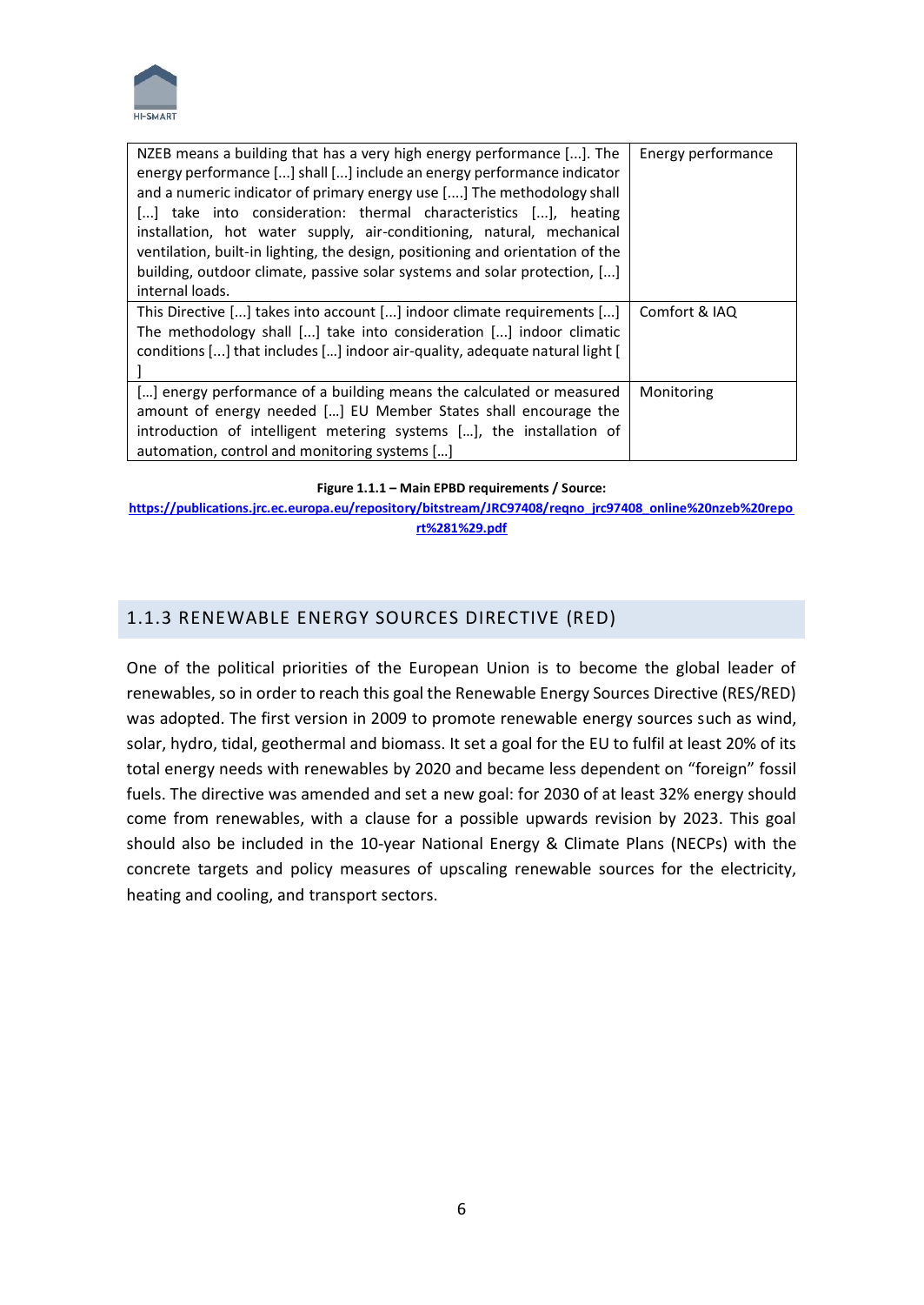

| NZEB means a building that has a very high energy performance $[]$ . The<br>energy performance [] shall [] include an energy performance indicator<br>and a numeric indicator of primary energy use [] The methodology shall<br>[] take into consideration: thermal characteristics [], heating<br>installation, hot water supply, air-conditioning, natural, mechanical<br>ventilation, built-in lighting, the design, positioning and orientation of the<br>building, outdoor climate, passive solar systems and solar protection, []<br>internal loads. | Energy performance |
|------------------------------------------------------------------------------------------------------------------------------------------------------------------------------------------------------------------------------------------------------------------------------------------------------------------------------------------------------------------------------------------------------------------------------------------------------------------------------------------------------------------------------------------------------------|--------------------|
| This Directive [] takes into account [] indoor climate requirements []<br>The methodology shall [] take into consideration [] indoor climatic<br>conditions [] that includes [] indoor air-quality, adequate natural light $\lceil$                                                                                                                                                                                                                                                                                                                        | Comfort & IAQ      |
| [] energy performance of a building means the calculated or measured<br>amount of energy needed [] EU Member States shall encourage the<br>introduction of intelligent metering systems [], the installation of<br>automation, control and monitoring systems []                                                                                                                                                                                                                                                                                           | Monitoring         |

#### **Figure 1.1.1 – Main EPBD requirements / Source:**

**[https://publications.jrc.ec.europa.eu/repository/bitstream/JRC97408/reqno\\_jrc97408\\_online%20nzeb%20repo](https://publications.jrc.ec.europa.eu/repository/bitstream/JRC97408/reqno_jrc97408_online%20nzeb%20report%281%29.pdf) [rt%281%29.pdf](https://publications.jrc.ec.europa.eu/repository/bitstream/JRC97408/reqno_jrc97408_online%20nzeb%20report%281%29.pdf)**

## 1.1.3 RENEWABLE ENERGY SOURCES DIRECTIVE (RED)

One of the political priorities of the European Union is to become the global leader of renewables, so in order to reach this goal the Renewable Energy Sources Directive (RES/RED) was adopted. The first version in 2009 to promote renewable energy sources such as wind, solar, hydro, tidal, geothermal and biomass. It set a goal for the EU to fulfil at least 20% of its total energy needs with renewables by 2020 and became less dependent on "foreign" fossil fuels. The directive was amended and set a new goal: for 2030 of at least 32% energy should come from renewables, with a clause for a possible upwards revision by 2023. This goal should also be included in the 10-year National Energy & Climate Plans (NECPs) with the concrete targets and policy measures of upscaling renewable sources for the electricity, heating and cooling, and transport sectors.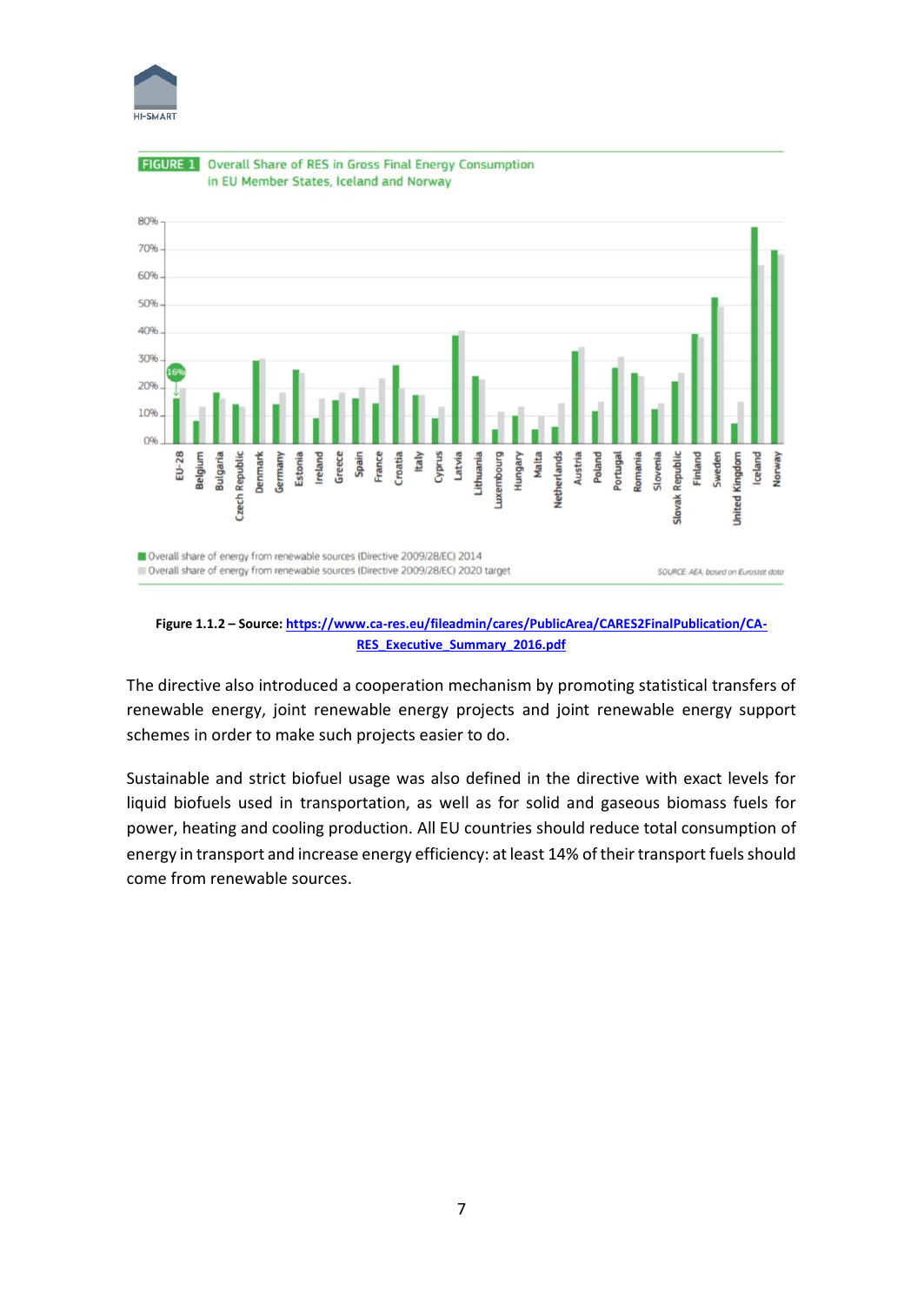



**Figure 1.1.2 – Source[: https://www.ca-res.eu/fileadmin/cares/PublicArea/CARES2FinalPublication/CA-](https://www.ca-res.eu/fileadmin/cares/PublicArea/CARES2FinalPublication/CA-RES_Executive_Summary_2016.pdf)[RES\\_Executive\\_Summary\\_2016.pdf](https://www.ca-res.eu/fileadmin/cares/PublicArea/CARES2FinalPublication/CA-RES_Executive_Summary_2016.pdf)**

The directive also introduced a cooperation mechanism by promoting statistical transfers of renewable energy, joint renewable energy projects and joint renewable energy support schemes in order to make such projects easier to do.

Sustainable and strict biofuel usage was also defined in the directive with exact levels for liquid biofuels used in transportation, as well as for solid and gaseous biomass fuels for power, heating and cooling production. All EU countries should reduce total consumption of energy in transport and increase energy efficiency: at least 14% of their transport fuels should come from renewable sources.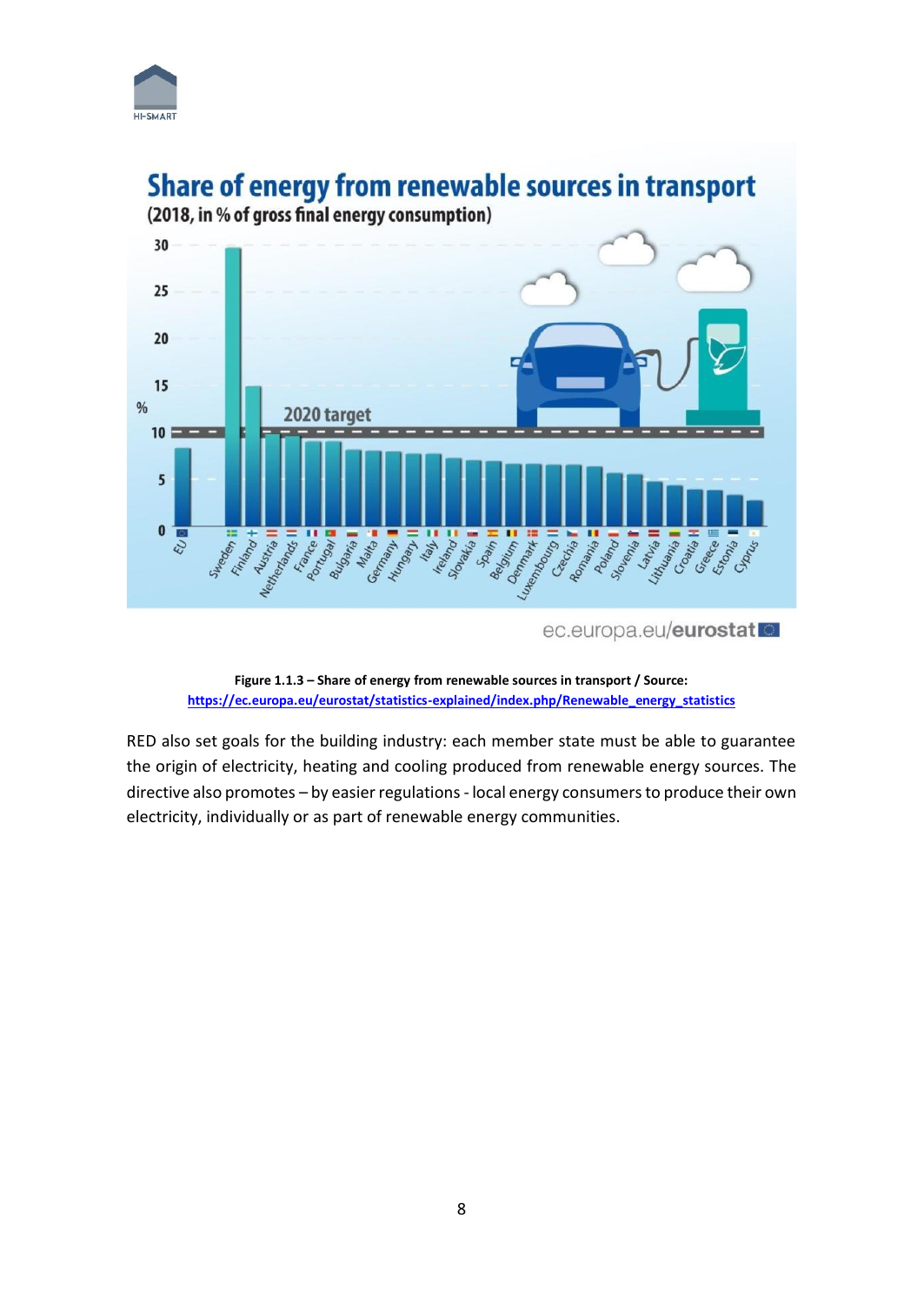



**Figure 1.1.3 – Share of energy from renewable sources in transport / Source: [https://ec.europa.eu/eurostat/statistics-explained/index.php/Renewable\\_energy\\_statistics](https://ec.europa.eu/eurostat/statistics-explained/index.php/Renewable_energy_statistics)**

RED also set goals for the building industry: each member state must be able to guarantee the origin of electricity, heating and cooling produced from renewable energy sources. The directive also promotes – by easier regulations - local energy consumers to produce their own electricity, individually or as part of renewable energy communities.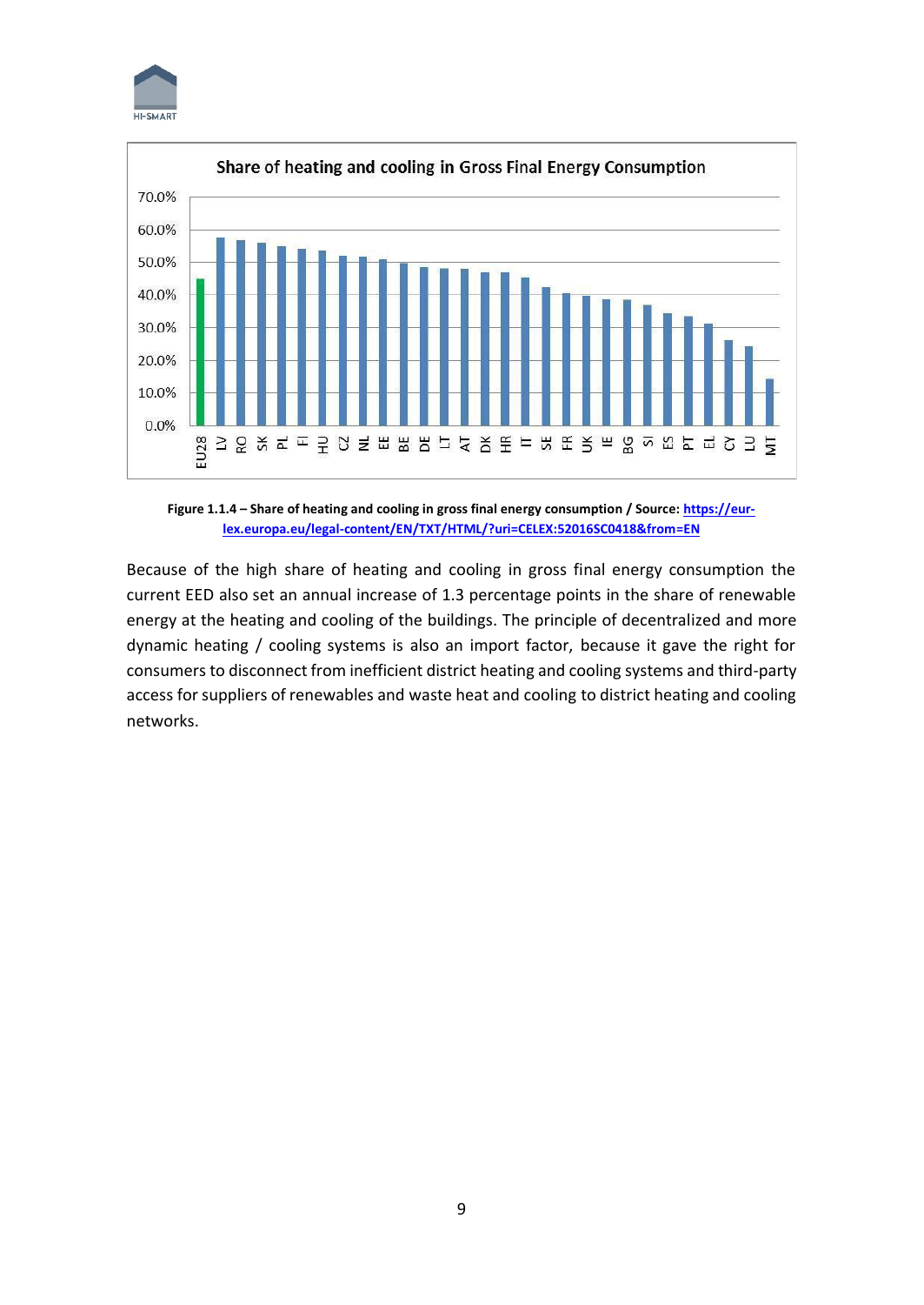



**Figure 1.1.4 – Share of heating and cooling in gross final energy consumption / Source: [https://eur](https://eur-lex.europa.eu/legal-content/EN/TXT/HTML/?uri=CELEX:52016SC0418&from=EN)[lex.europa.eu/legal-content/EN/TXT/HTML/?uri=CELEX:52016SC0418&from=EN](https://eur-lex.europa.eu/legal-content/EN/TXT/HTML/?uri=CELEX:52016SC0418&from=EN)**

Because of the high share of heating and cooling in gross final energy consumption the current EED also set an annual increase of 1.3 percentage points in the share of renewable energy at the heating and cooling of the buildings. The principle of decentralized and more dynamic heating / cooling systems is also an import factor, because it gave the right for consumers to disconnect from inefficient district heating and cooling systems and third-party access for suppliers of renewables and waste heat and cooling to district heating and cooling networks.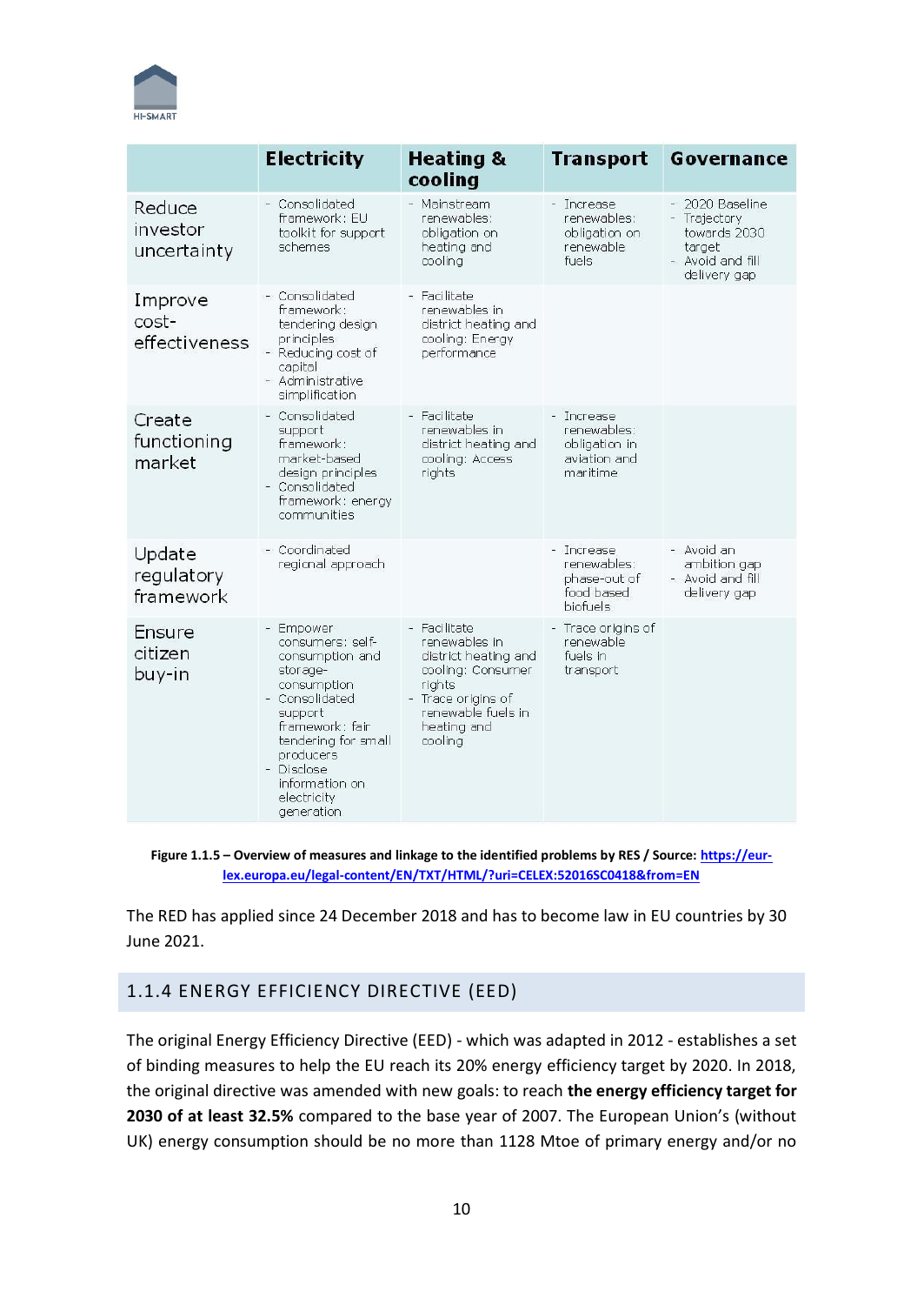

|                                   | <b>Electricity</b>                                                                                                                                                                                                         | <b>Heating &amp;</b><br>cooling                                                                                                                          | <b>Transport</b>                                                       | Governance                                                                                    |
|-----------------------------------|----------------------------------------------------------------------------------------------------------------------------------------------------------------------------------------------------------------------------|----------------------------------------------------------------------------------------------------------------------------------------------------------|------------------------------------------------------------------------|-----------------------------------------------------------------------------------------------|
| Reduce<br>investor<br>uncertainty | - Consolidated<br>framework: EU<br>toolkit for support<br>schemes                                                                                                                                                          | - Mainstream<br>renewables:<br>obligation on<br>heating and<br>coolina                                                                                   | - Increase<br>renewables:<br>obligation on<br>renewable<br>fuels       | - 2020 Baseline<br>- Trajectory<br>towards 2030<br>target<br>- Avoid and fill<br>delivery gap |
| Improve<br>cost-<br>effectiveness | - Consolidated<br>framework:<br>tendering design<br>principles<br>- Reducing cost of<br>capital<br>- Administrative<br>simplification                                                                                      | - Facilitate<br>renewables in<br>district heating and<br>cooling: Energy<br>performance                                                                  |                                                                        |                                                                                               |
| Create<br>functioning<br>market   | - Consolidated<br>support<br>framework:<br>market-based<br>design principles<br>- Consolidated<br>framework: energy<br>communities                                                                                         | Facilitate<br>renewables in<br>district heating and<br>cooling: Access<br>rights                                                                         | - Increase<br>renewables:<br>obligation in<br>aviation and<br>maritime |                                                                                               |
| Update<br>regulatory<br>framework | - Coordinated<br>regional approach                                                                                                                                                                                         |                                                                                                                                                          | - Increase<br>renewables:<br>phase-out of<br>food based<br>biofuels    | - Avoid an<br>ambition gap<br>- Avoid and fill<br>delivery gap                                |
| Ensure<br>citizen<br>buy-in       | Empower<br>consumers: self-<br>consumption and<br>storage-<br>consumption<br>- Consolidated<br>support<br>framework: fair<br>tendering for small<br>producers<br>- Disclose<br>information on<br>electricity<br>generation | Facilitate<br>renewables in<br>district heating and<br>cooling: Consumer<br>rights<br>- Trace origins of<br>renewable fuels in<br>heating and<br>coolina | - Trace origins of<br>renewable<br>fuels in<br>transport               |                                                                                               |

**Figure 1.1.5 – Overview of measures and linkage to the identified problems by RES / Source[: https://eur](https://eur-lex.europa.eu/legal-content/EN/TXT/HTML/?uri=CELEX:52016SC0418&from=EN)[lex.europa.eu/legal-content/EN/TXT/HTML/?uri=CELEX:52016SC0418&from=EN](https://eur-lex.europa.eu/legal-content/EN/TXT/HTML/?uri=CELEX:52016SC0418&from=EN)**

The RED has applied since 24 December 2018 and has to become law in EU countries by 30 June 2021.

## 1.1.4 ENERGY EFFICIENCY DIRECTIVE (EED)

The original Energy Efficiency Directive (EED) - which was adapted in 2012 - establishes a set of binding measures to help the EU reach its 20% energy efficiency target by 2020. In 2018, the original directive was amended with new goals: to reach **the energy efficiency target for 2030 of at least 32.5%** compared to the base year of 2007. The European Union's (without UK) energy consumption should be no more than 1128 Mtoe of primary energy and/or no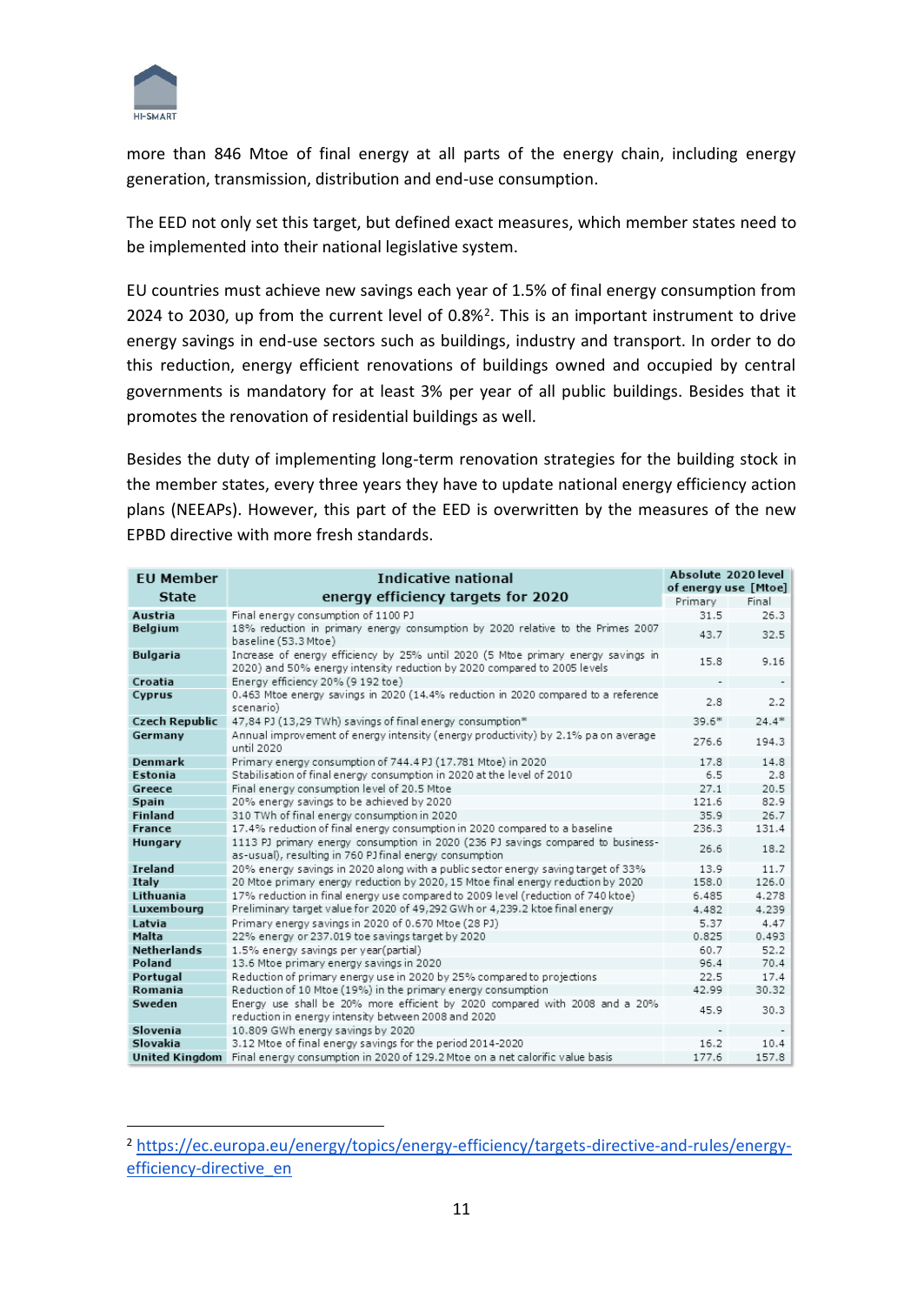

more than 846 Mtoe of final energy at all parts of the energy chain, including energy generation, transmission, distribution and end-use consumption.

The EED not only set this target, but defined exact measures, which member states need to be implemented into their national legislative system.

EU countries must achieve new savings each year of 1.5% of final energy consumption from 2024 to 2030, up from the current level of  $0.8\%$ <sup>2</sup>. This is an important instrument to drive energy savings in end-use sectors such as buildings, industry and transport. In order to do this reduction, energy efficient renovations of buildings owned and occupied by central governments is mandatory for at least 3% per year of all public buildings. Besides that it promotes the renovation of residential buildings as well.

Besides the duty of implementing long-term renovation strategies for the building stock in the member states, every three years they have to update national energy efficiency action plans (NEEAPs). However, this part of the EED is overwritten by the measures of the new EPBD directive with more fresh standards.

| <b>EU Member</b>      | <b>Indicative national</b>                                                                                                                                    | Absolute 2020 level             |         |
|-----------------------|---------------------------------------------------------------------------------------------------------------------------------------------------------------|---------------------------------|---------|
| <b>State</b>          | energy efficiency targets for 2020                                                                                                                            | of energy use [Mtoe]<br>Primary | Final   |
| Austria               | Final energy consumption of 1100 PJ                                                                                                                           | 31.5                            | 26.3    |
| <b>Belgium</b>        | 18% reduction in primary energy consumption by 2020 relative to the Primes 2007<br>baseline (53.3 Mtoe)                                                       | 43.7                            | 32.5    |
| <b>Bulgaria</b>       | Increase of energy efficiency by 25% until 2020 (5 Mtoe primary energy savings in<br>2020) and 50% energy intensity reduction by 2020 compared to 2005 levels | 15.8                            | 9.16    |
| Croatia               | Energy efficiency 20% (9 192 toe)                                                                                                                             |                                 |         |
| Cyprus                | 0.463 Mtoe energy savings in 2020 (14.4% reduction in 2020 compared to a reference<br>scenario)                                                               | 2.8                             | 2.2     |
| <b>Czech Republic</b> | 47,84 PJ (13,29 TWh) savings of final energy consumption*                                                                                                     | $39.6*$                         | $24.4*$ |
| Germany               | Annual improvement of energy intensity (energy productivity) by 2.1% pa on average<br>until 2020                                                              | 276.6                           | 194.3   |
| <b>Denmark</b>        | Primary energy consumption of 744.4 PJ (17.781 Mtoe) in 2020                                                                                                  | 17.8                            | 14.8    |
| <b>Fstonia</b>        | Stabilisation of final energy consumption in 2020 at the level of 2010                                                                                        | 6.5                             | 2.8     |
| Greece                | Final energy consumption level of 20.5 Mtoe                                                                                                                   | 27.1                            | 20.5    |
| Spain                 | 20% energy savings to be achieved by 2020                                                                                                                     | 121.6                           | 82.9    |
| <b>Finland</b>        | 310 TWh of final energy consumption in 2020                                                                                                                   | 35.9                            | 26.7    |
| France                | 17.4% reduction of final energy consumption in 2020 compared to a baseline                                                                                    | 236.3                           | 131.4   |
| Hungary               | 1113 PJ primary energy consumption in 2020 (236 PJ savings compared to business-<br>as-usual), resulting in 760 PJ final energy consumption                   | 26.6                            | 18.2    |
| <b>Ireland</b>        | 20% energy savings in 2020 along with a public sector energy saving target of 33%                                                                             | 13.9                            | 11.7    |
| Italy                 | 20 Mtoe primary energy reduction by 2020, 15 Mtoe final energy reduction by 2020                                                                              | 158.0                           | 126.0   |
| Lithuania             | 17% reduction in final energy use compared to 2009 level (reduction of 740 ktoe)                                                                              | 6.485                           | 4.278   |
| Luxembourg            | Preliminary target value for 2020 of 49,292 GWh or 4,239.2 ktoe final energy                                                                                  | 4.482                           | 4.239   |
| Latvia                | Primary energy savings in 2020 of 0.670 Mtoe (28 PJ)                                                                                                          | 5.37                            | 4.47    |
| Malta                 | 22% energy or 237.019 toe savings target by 2020                                                                                                              | 0.825                           | 0.493   |
| <b>Netherlands</b>    | 1.5% energy savings per year(partial)                                                                                                                         | 60.7                            | 52.2    |
| Poland                | 13.6 Mtoe primary energy savings in 2020                                                                                                                      | 96.4                            | 70.4    |
| Portugal              | Reduction of primary energy use in 2020 by 25% compared to projections                                                                                        | 22.5                            | 17.4    |
| Romania               | Reduction of 10 Mtoe (19%) in the primary energy consumption                                                                                                  | 42.99                           | 30.32   |
| Sweden                | Energy use shall be 20% more efficient by 2020 compared with 2008 and a 20%<br>reduction in energy intensity between 2008 and 2020                            | 45.9                            | 30.3    |
| Slovenia              | 10.809 GWh energy savings by 2020                                                                                                                             |                                 |         |
| Slovakia              | 3.12 Mtoe of final energy savings for the period 2014-2020                                                                                                    | 16.2                            | 10.4    |
| United Kingdom        | Final energy consumption in 2020 of 129.2 Mtoe on a net calorific value basis                                                                                 | 177.6                           | 157.8   |

<sup>2</sup> [https://ec.europa.eu/energy/topics/energy-efficiency/targets-directive-and-rules/energy](https://ec.europa.eu/energy/topics/energy-efficiency/targets-directive-and-rules/energy-efficiency-directive_en)[efficiency-directive\\_en](https://ec.europa.eu/energy/topics/energy-efficiency/targets-directive-and-rules/energy-efficiency-directive_en)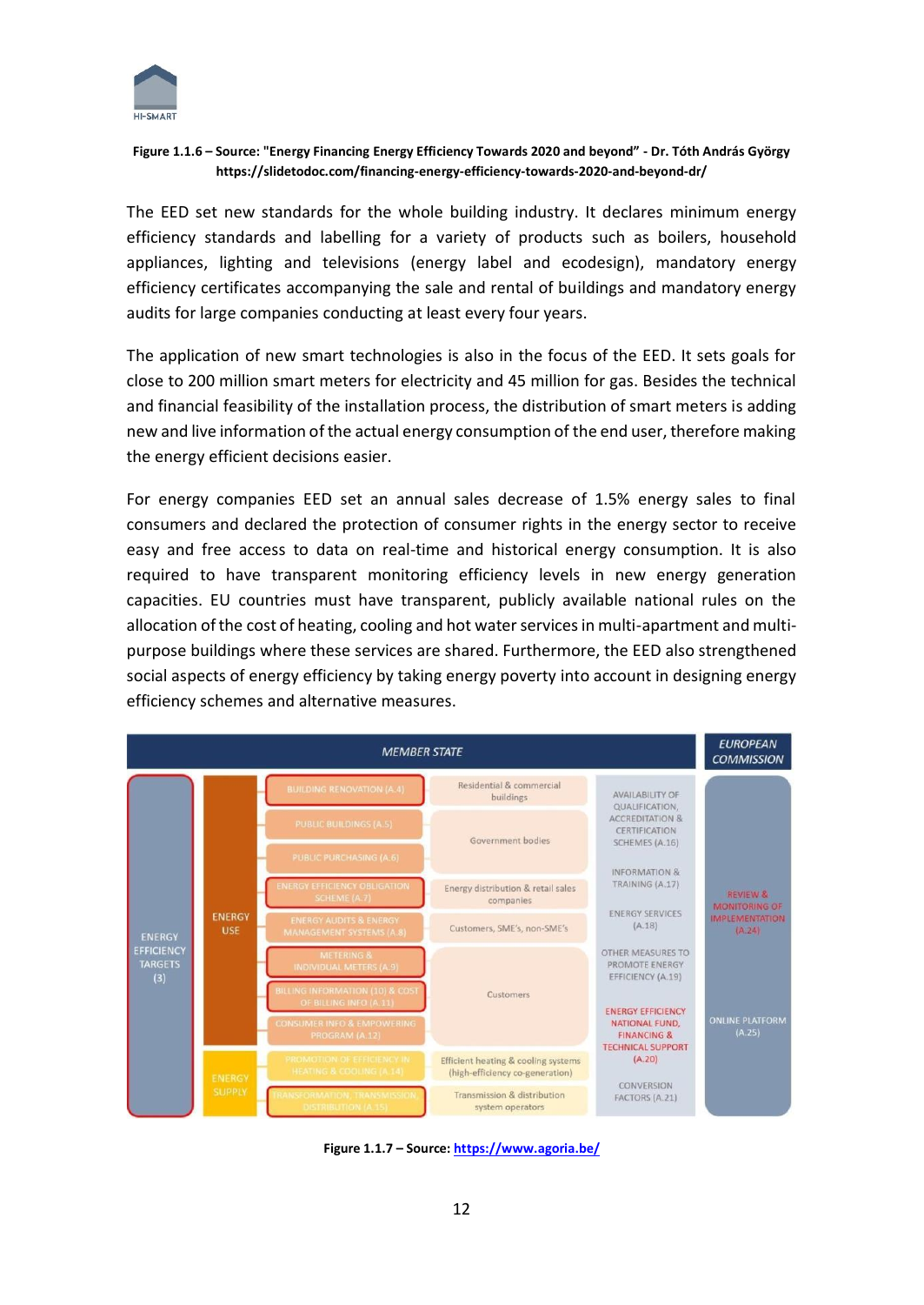

#### **Figure 1.1.6 – Source: "Energy Financing Energy Efficiency Towards 2020 and beyond" - Dr. Tóth András György https://slidetodoc.com/financing-energy-efficiency-towards-2020-and-beyond-dr/**

The EED set new standards for the whole building industry. It declares minimum energy efficiency standards and labelling for a variety of products such as boilers, household appliances, lighting and televisions (energy label and ecodesign), mandatory energy efficiency certificates accompanying the sale and rental of buildings and mandatory energy audits for large companies conducting at least every four years.

The application of new smart technologies is also in the focus of the EED. It sets goals for close to 200 million smart meters for electricity and 45 million for gas. Besides the technical and financial feasibility of the installation process, the distribution of smart meters is adding new and live information of the actual energy consumption of the end user, therefore making the energy efficient decisions easier.

For energy companies EED set an annual sales decrease of 1.5% energy sales to final consumers and declared the protection of consumer rights in the energy sector to receive easy and free access to data on real-time and historical energy consumption. It is also required to have transparent monitoring efficiency levels in new energy generation capacities. EU countries must have transparent, publicly available national rules on the allocation of the cost of heating, cooling and hot water services in multi-apartment and multipurpose buildings where these services are shared. Furthermore, the EED also strengthened social aspects of energy efficiency by taking energy poverty into account in designing energy efficiency schemes and alternative measures.



**Figure 1.1.7 – Source:<https://www.agoria.be/>**